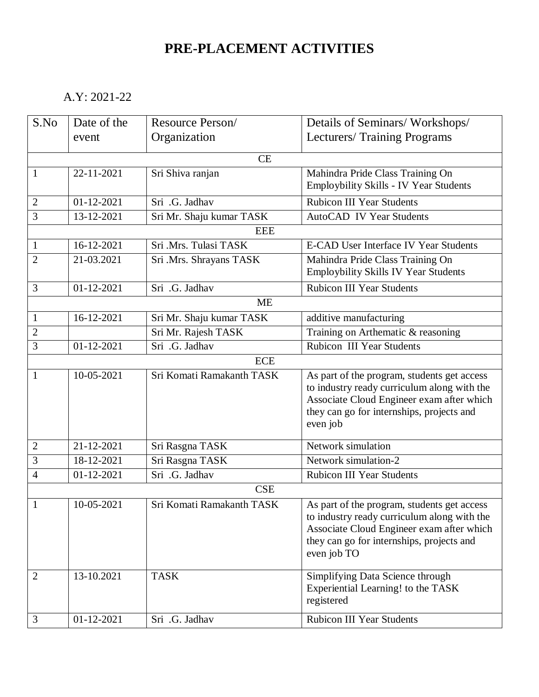## **PRE-PLACEMENT ACTIVITIES**

A.Y: 2021-22

| S.No           | Date of the      | Resource Person/          | Details of Seminars/Workshops/                                                           |  |  |
|----------------|------------------|---------------------------|------------------------------------------------------------------------------------------|--|--|
|                | event            | Organization              | Lecturers/ Training Programs                                                             |  |  |
|                |                  | CE                        |                                                                                          |  |  |
| $\mathbf{1}$   | 22-11-2021       | Sri Shiva ranjan          | Mahindra Pride Class Training On                                                         |  |  |
|                |                  |                           | Employbility Skills - IV Year Students                                                   |  |  |
| $\mathbf{2}$   | 01-12-2021       | Sri .G. Jadhav            | <b>Rubicon III Year Students</b>                                                         |  |  |
| 3              | 13-12-2021       | Sri Mr. Shaju kumar TASK  | <b>AutoCAD IV Year Students</b>                                                          |  |  |
|                |                  | <b>EEE</b>                |                                                                                          |  |  |
| $\mathbf{1}$   | 16-12-2021       | Sri .Mrs. Tulasi TASK     | <b>E-CAD User Interface IV Year Students</b>                                             |  |  |
| $\overline{2}$ | 21-03.2021       | Sri .Mrs. Shrayans TASK   | Mahindra Pride Class Training On                                                         |  |  |
|                |                  |                           | Employbility Skills IV Year Students                                                     |  |  |
| 3              | 01-12-2021       | Sri .G. Jadhav            | <b>Rubicon III Year Students</b>                                                         |  |  |
|                |                  | <b>ME</b>                 |                                                                                          |  |  |
| $\mathbf{1}$   | 16-12-2021       | Sri Mr. Shaju kumar TASK  | additive manufacturing                                                                   |  |  |
| $\overline{2}$ |                  | Sri Mr. Rajesh TASK       | Training on Arthematic & reasoning                                                       |  |  |
| 3              | 01-12-2021       | Sri .G. Jadhav            | <b>Rubicon III Year Students</b>                                                         |  |  |
|                |                  | <b>ECE</b>                |                                                                                          |  |  |
| 1              | 10-05-2021       | Sri Komati Ramakanth TASK | As part of the program, students get access                                              |  |  |
|                |                  |                           | to industry ready curriculum along with the<br>Associate Cloud Engineer exam after which |  |  |
|                |                  |                           | they can go for internships, projects and                                                |  |  |
|                |                  |                           | even job                                                                                 |  |  |
|                |                  |                           |                                                                                          |  |  |
| $\overline{2}$ | 21-12-2021       | Sri Rasgna TASK           | Network simulation                                                                       |  |  |
| 3              | 18-12-2021       | Sri Rasgna TASK           | Network simulation-2                                                                     |  |  |
| 4              | $01 - 12 - 2021$ | Sri .G. Jadhav            | <b>Rubicon III Year Students</b>                                                         |  |  |
|                | <b>CSE</b>       |                           |                                                                                          |  |  |
| $\mathbf{1}$   | 10-05-2021       | Sri Komati Ramakanth TASK | As part of the program, students get access                                              |  |  |
|                |                  |                           | to industry ready curriculum along with the<br>Associate Cloud Engineer exam after which |  |  |
|                |                  |                           | they can go for internships, projects and                                                |  |  |
|                |                  |                           | even job TO                                                                              |  |  |
|                |                  |                           |                                                                                          |  |  |
| $\overline{2}$ | 13-10.2021       | <b>TASK</b>               | Simplifying Data Science through<br>Experiential Learning! to the TASK                   |  |  |
|                |                  |                           | registered                                                                               |  |  |
|                |                  |                           |                                                                                          |  |  |
| 3              | 01-12-2021       | Sri .G. Jadhav            | Rubicon III Year Students                                                                |  |  |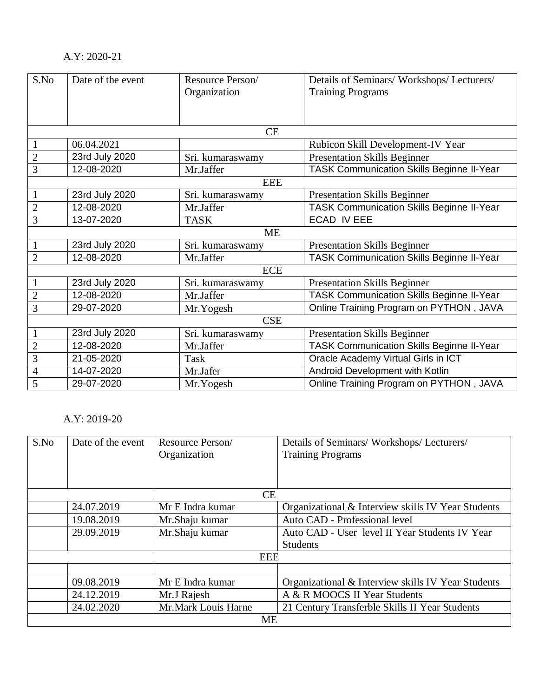## A.Y: 2020-21

| S.No           | Date of the event | Resource Person/ | Details of Seminars/ Workshops/ Lecturers/       |  |  |
|----------------|-------------------|------------------|--------------------------------------------------|--|--|
|                |                   | Organization     | <b>Training Programs</b>                         |  |  |
|                |                   |                  |                                                  |  |  |
|                |                   |                  |                                                  |  |  |
|                |                   | CE               |                                                  |  |  |
| $\mathbf{1}$   | 06.04.2021        |                  | Rubicon Skill Development-IV Year                |  |  |
| $\overline{2}$ | 23rd July 2020    | Sri. kumaraswamy | <b>Presentation Skills Beginner</b>              |  |  |
| 3              | 12-08-2020        | Mr.Jaffer        | <b>TASK Communication Skills Beginne II-Year</b> |  |  |
|                |                   | <b>EEE</b>       |                                                  |  |  |
| 1              | 23rd July 2020    | Sri. kumaraswamy | <b>Presentation Skills Beginner</b>              |  |  |
| $\overline{2}$ | 12-08-2020        | Mr.Jaffer        | <b>TASK Communication Skills Beginne II-Year</b> |  |  |
| 3              | 13-07-2020        | <b>TASK</b>      | <b>ECAD IV EEE</b>                               |  |  |
|                | <b>ME</b>         |                  |                                                  |  |  |
|                | 23rd July 2020    | Sri. kumaraswamy | <b>Presentation Skills Beginner</b>              |  |  |
| $\overline{2}$ | 12-08-2020        | Mr.Jaffer        | <b>TASK Communication Skills Beginne II-Year</b> |  |  |
| <b>ECE</b>     |                   |                  |                                                  |  |  |
|                | 23rd July 2020    | Sri. kumaraswamy | <b>Presentation Skills Beginner</b>              |  |  |
| $\overline{2}$ | 12-08-2020        | Mr.Jaffer        | <b>TASK Communication Skills Beginne II-Year</b> |  |  |
| 3              | 29-07-2020        | Mr.Yogesh        | Online Training Program on PYTHON, JAVA          |  |  |
|                | <b>CSE</b>        |                  |                                                  |  |  |
|                | 23rd July 2020    | Sri. kumaraswamy | <b>Presentation Skills Beginner</b>              |  |  |
| $\overline{c}$ | 12-08-2020        | Mr.Jaffer        | <b>TASK Communication Skills Beginne II-Year</b> |  |  |
| $\overline{3}$ | 21-05-2020        | Task             | Oracle Academy Virtual Girls in ICT              |  |  |
| 4              | 14-07-2020        | Mr.Jafer         | Android Development with Kotlin                  |  |  |
| 5              | 29-07-2020        | Mr.Yogesh        | Online Training Program on PYTHON, JAVA          |  |  |

## A.Y: 2019-20

| S.No | Date of the event | Resource Person/    | Details of Seminars/ Workshops/ Lecturers/         |
|------|-------------------|---------------------|----------------------------------------------------|
|      |                   | Organization        | <b>Training Programs</b>                           |
|      |                   |                     |                                                    |
|      |                   |                     |                                                    |
|      |                   | CE                  |                                                    |
|      | 24.07.2019        | Mr E Indra kumar    | Organizational & Interview skills IV Year Students |
|      | 19.08.2019        | Mr.Shaju kumar      | Auto CAD - Professional level                      |
|      | 29.09.2019        | Mr.Shaju kumar      | Auto CAD - User level II Year Students IV Year     |
|      |                   |                     | <b>Students</b>                                    |
|      | <b>EEE</b>        |                     |                                                    |
|      |                   |                     |                                                    |
|      | 09.08.2019        | Mr E Indra kumar    | Organizational & Interview skills IV Year Students |
|      | 24.12.2019        | Mr.J Rajesh         | A & R MOOCS II Year Students                       |
|      | 24.02.2020        | Mr.Mark Louis Harne | 21 Century Transferble Skills II Year Students     |
|      |                   | <b>ME</b>           |                                                    |